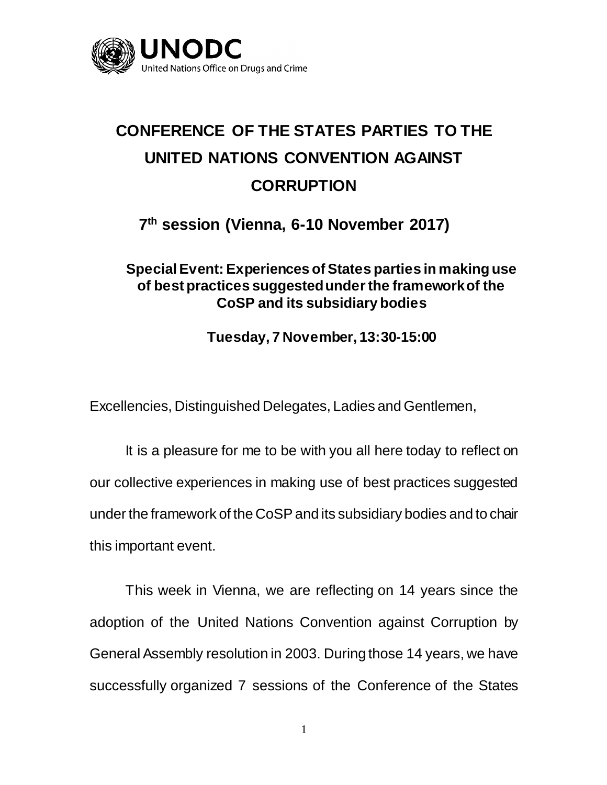

## **CONFERENCE OF THE STATES PARTIES TO THE UNITED NATIONS CONVENTION AGAINST CORRUPTION**

**7 th session (Vienna, 6-10 November 2017)**

## **Special Event: Experiences of States parties in making use of best practices suggested under the framework of the CoSP and its subsidiary bodies**

**Tuesday, 7 November, 13:30-15:00**

Excellencies, Distinguished Delegates, Ladies and Gentlemen,

It is a pleasure for me to be with you all here today to reflect on our collective experiences in making use of best practices suggested under the framework of the CoSP and its subsidiary bodies and to chair this important event.

This week in Vienna, we are reflecting on 14 years since the adoption of the United Nations Convention against Corruption by General Assembly resolution in 2003. During those 14 years, we have successfully organized 7 sessions of the Conference of the States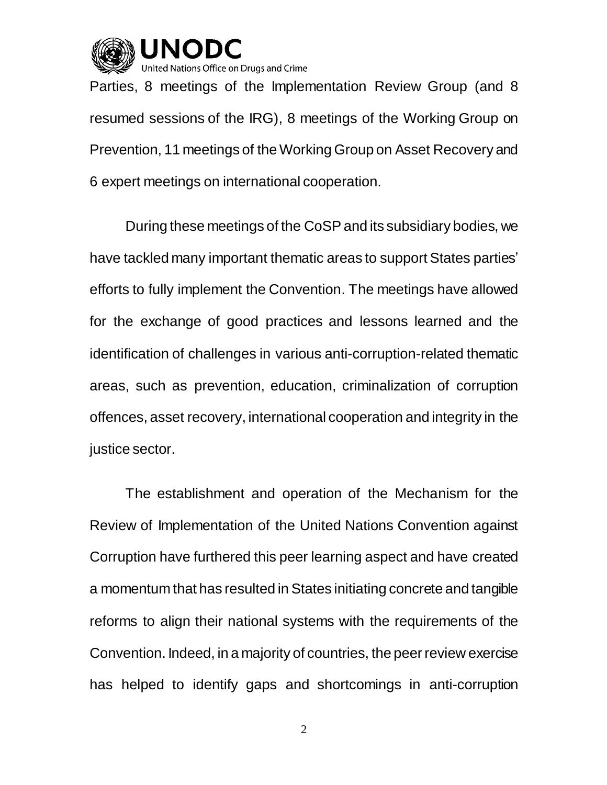

Nations Office on Drugs and Crime

Parties, 8 meetings of the Implementation Review Group (and 8 resumed sessions of the IRG), 8 meetings of the Working Group on Prevention, 11 meetings of the Working Group on Asset Recovery and 6 expert meetings on international cooperation.

During these meetings of the CoSP and its subsidiary bodies, we have tackled many important thematic areas to support States parties' efforts to fully implement the Convention. The meetings have allowed for the exchange of good practices and lessons learned and the identification of challenges in various anti-corruption-related thematic areas, such as prevention, education, criminalization of corruption offences, asset recovery, international cooperation and integrity in the justice sector.

The establishment and operation of the Mechanism for the Review of Implementation of the United Nations Convention against Corruption have furthered this peer learning aspect and have created a momentum that has resulted in States initiating concrete and tangible reforms to align their national systems with the requirements of the Convention. Indeed, in a majority of countries, the peer review exercise has helped to identify gaps and shortcomings in anti-corruption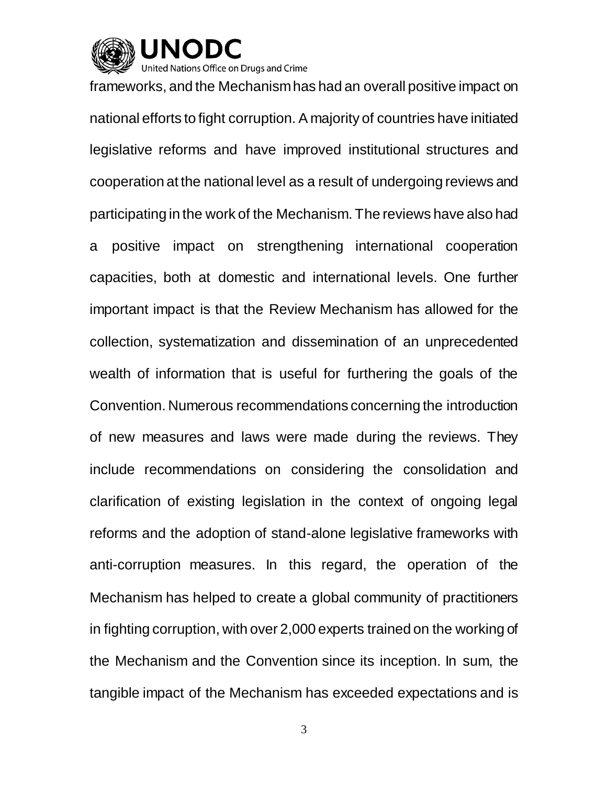

Inited Nations Office on Drugs and Crime

frameworks, and the Mechanism has had an overall positive impact on national efforts to fight corruption. A majority of countries have initiated legislative reforms and have improved institutional structures and cooperation at the national level as a result of undergoing reviews and participating in the work of the Mechanism. The reviews have also had a positive impact on strengthening international cooperation capacities, both at domestic and international levels. One further important impact is that the Review Mechanism has allowed for the collection, systematization and dissemination of an unprecedented wealth of information that is useful for furthering the goals of the Convention. Numerous recommendations concerning the introduction of new measures and laws were made during the reviews. They include recommendations on considering the consolidation and clarification of existing legislation in the context of ongoing legal reforms and the adoption of stand-alone legislative frameworks with anti-corruption measures. In this regard, the operation of the Mechanism has helped to create a global community of practitioners in fighting corruption, with over 2,000 experts trained on the working of the Mechanism and the Convention since its inception. In sum, the tangible impact of the Mechanism has exceeded expectations and is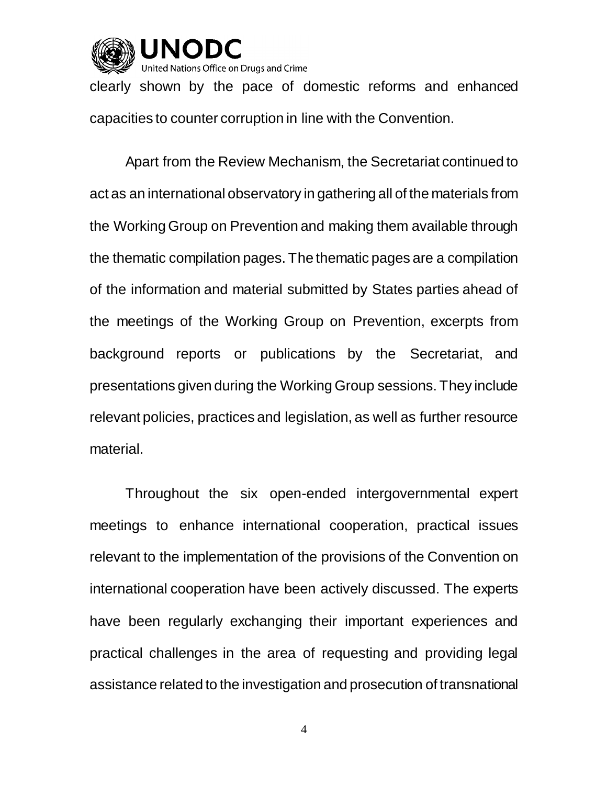

clearly shown by the pace of domestic reforms and enhanced capacities to counter corruption in line with the Convention.

Apart from the Review Mechanism, the Secretariat continued to act as an international observatory in gathering all of the materials from the Working Group on Prevention and making them available through the thematic compilation pages. The thematic pages are a compilation of the information and material submitted by States parties ahead of the meetings of the Working Group on Prevention, excerpts from background reports or publications by the Secretariat, and presentations given during the Working Group sessions. They include relevant policies, practices and legislation, as well as further resource material.

Throughout the six open-ended intergovernmental expert meetings to enhance international cooperation, practical issues relevant to the implementation of the provisions of the Convention on international cooperation have been actively discussed. The experts have been regularly exchanging their important experiences and practical challenges in the area of requesting and providing legal assistance related to the investigation and prosecution of transnational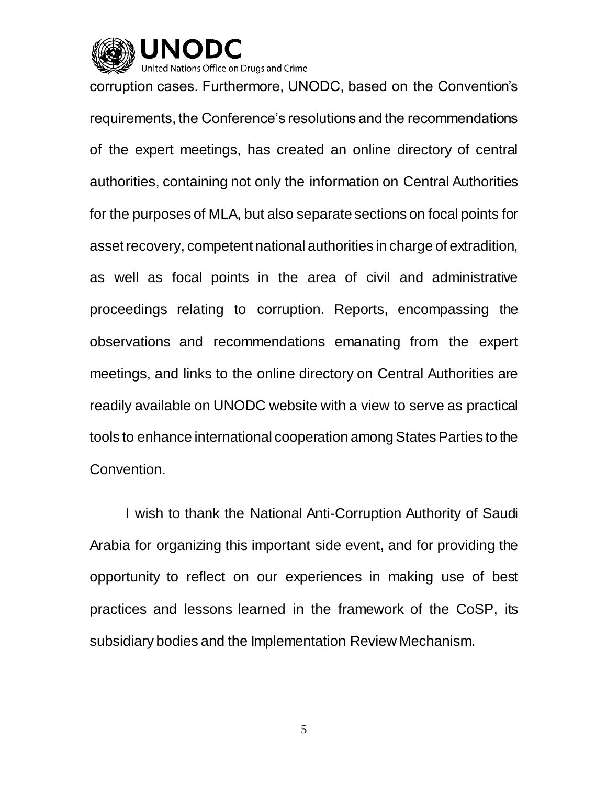

corruption cases. Furthermore, UNODC, based on the Convention's requirements, the Conference's resolutions and the recommendations of the expert meetings, has created an online directory of central authorities, containing not only the information on Central Authorities for the purposes of MLA, but also separate sections on focal points for asset recovery, competent national authorities in charge of extradition, as well as focal points in the area of civil and administrative proceedings relating to corruption. Reports, encompassing the observations and recommendations emanating from the expert meetings, and links to the online directory on Central Authorities are readily available on UNODC website with a view to serve as practical tools to enhance international cooperation among States Parties to the Convention.

I wish to thank the National Anti-Corruption Authority of Saudi Arabia for organizing this important side event, and for providing the opportunity to reflect on our experiences in making use of best practices and lessons learned in the framework of the CoSP, its subsidiary bodies and the Implementation Review Mechanism.

5